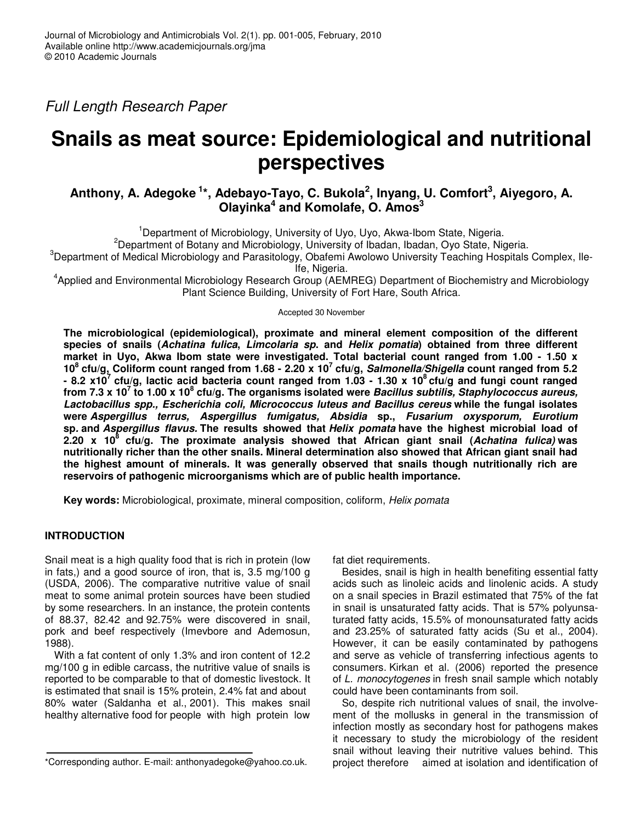*Full Length Research Paper*

# **Snails as meat source: Epidemiological and nutritional perspectives**

## **Anthony, A. Adegoke 1 \*, Adebayo-Tayo, C. Bukola 2 , Inyang, U. Comfort 3 , Aiyegoro, A. Olayinka 4 and Komolafe, O. Amos 3**

<sup>1</sup>Department of Microbiology, University of Uyo, Uyo, Akwa-Ibom State, Nigeria.

<sup>2</sup>Department of Botany and Microbiology, University of Ibadan, Ibadan, Oyo State, Nigeria.

 $3$ Department of Medical Microbiology and Parasitology, Obafemi Awolowo University Teaching Hospitals Complex, Ile-Ife, Nigeria.

4 Applied and Environmental Microbiology Research Group (AEMREG) Department of Biochemistry and Microbiology Plant Science Building, University of Fort Hare, South Africa.

Accepted 30 November

**The microbiological (epidemiological), proximate and mineral element composition of the different** species of snails (Achatina fulica, Limcolaria sp. and Helix pomatia) obtained from three different **market in Uyo, Akwa Ibom state were investigated. Total bacterial count ranged from 1.00 - 1.50 x** 10<sup>8</sup> cfu/g, Coliform count ranged from 1.68 - 2.20 x 10<sup>7</sup> cfu/g, Salmonella/Shigella count ranged from 5.2 - 8.2 x10<sup>7</sup> cfu/g, lactic acid bacteria count ranged from 1.03 - 1.30 x 10<sup>8</sup> cfu/g and fungi count ranged from 7.3 x 10<sup>7</sup> to 1.00 x 10<sup>8</sup> cfu/g. The organisms isolated were *Bacillus subtilis, Staphylococcus aureus, Lactobacillus spp., Escherichia coli, Micrococcus luteus and Bacillus cereus* **while the fungal isolates were** *Aspergillus terrus, Aspergillus fumigatus, Absidia* **sp.,** *Fusarium oxysporum, Eurotium* **sp***.* **and** *Aspergillus flavus.* **The results showed that** *Helix pomata* **have the highest microbial load of 2.20 x 10 8 cfu/g. The proximate analysis showed that African giant snail (***Achatina fulica)* **was nutritionally richer than the other snails. Mineral determination also showed that African giant snail had the highest amount of minerals. It was generally observed that snails though nutritionally rich are reservoirs of pathogenic microorganisms which are of public health importance.**

**Key words:** Microbiological, proximate, mineral composition, coliform, *Helix pomata*

## **INTRODUCTION**

Snail meat is a high quality food that is rich in protein (low in fats,) and a good source of iron, that is, 3.5 mg/100 g (USDA, 2006). The comparative nutritive value of snail meat to some animal protein sources have been studied by some researchers. In an instance, the protein contents of 88.37, 82.42 and 92.75% were discovered in snail, pork and beef respectively (Imevbore and Ademosun, 1988).

With a fat content of only 1.3% and iron content of 12.2 mg/100 g in edible carcass, the nutritive value of snails is reported to be comparable to that of domestic livestock. It is estimated that snail is 15% protein, 2.4% fat and about 80% water (Saldanha et al., 2001). This makes snail healthy alternative food for people with high protein low fat diet requirements.

Besides, snail is high in health benefiting essential fatty acids such as linoleic acids and linolenic acids. A study on a snail species in Brazil estimated that 75% of the fat in snail is unsaturated fatty acids. That is 57% polyunsaturated fatty acids, 15.5% of monounsaturated fatty acids and 23.25% of saturated fatty acids (Su et al., 2004). However, it can be easily contaminated by pathogens and serve as vehicle of transferring infectious agents to consumers. Kirkan et al. (2006) reported the presence of *L. monocytogenes* in fresh snail sample which notably could have been contaminants from soil.

So, despite rich nutritional values of snail, the involvement of the mollusks in general in the transmission of infection mostly as secondary host for pathogens makes it necessary to study the microbiology of the resident snail without leaving their nutritive values behind. This project therefore aimed at isolation and identification of

<sup>\*</sup>Corresponding author. E-mail: anthonyadegoke@yahoo.co.uk.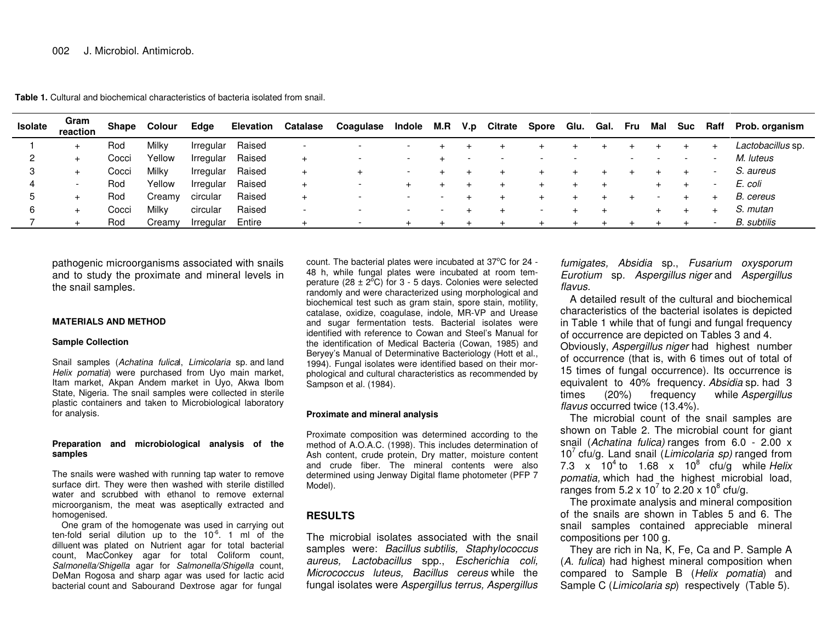**Table 1.** Cultural and biochemical characteristics of bacteria isolated from snail.

| <b>Isolate</b> | Gram<br>reaction | <b>Shape</b> | Colour | Edge      | <b>Elevation</b> | <b>Catalase</b>          | Coagulase                | Indole | M.R | V.p | <b>Citrate</b> | <b>Spore</b> | Glu. | Gal. | Fru | Mal | <b>Suc</b> | Raff | Prob. organism    |
|----------------|------------------|--------------|--------|-----------|------------------|--------------------------|--------------------------|--------|-----|-----|----------------|--------------|------|------|-----|-----|------------|------|-------------------|
|                |                  | Rod          | Milky  | Irregular | Raised           | $\overline{\phantom{0}}$ | $\overline{\phantom{a}}$ |        |     |     |                |              |      |      |     |     |            |      | Lactobacillus sp. |
|                |                  | Cocci        | Yellow | Irregular | Raised           | $+$                      | $\overline{\phantom{a}}$ |        |     |     |                |              |      |      |     |     |            |      | M. luteus         |
| 3              |                  | Cocci        | Milky  | Irregular | Raised           | $+$                      |                          |        |     |     |                |              |      |      |     |     |            |      | S. aureus         |
| 4              |                  | Rod          | Yellow | Irregular | Raised           | $+$                      | $\overline{\phantom{a}}$ |        |     |     |                |              |      |      |     |     |            |      | E. coli           |
|                |                  | Rod          | Creamy | circular  | Raised           | $+$                      | $\overline{\phantom{a}}$ |        |     |     |                |              |      |      |     |     |            |      | B. cereus         |
|                |                  | Cocci        | Milky  | circular  | Raised           | $\overline{\phantom{a}}$ | $\overline{\phantom{a}}$ |        |     |     |                |              |      |      |     |     |            |      | S. mutan          |
|                |                  | Rod          | Creamy | Irregular | Entire           |                          | $\overline{\phantom{a}}$ |        |     |     |                |              |      |      |     |     |            |      | B. subtilis       |

pathogenic microorganisms associated with snails and to study the proximate and mineral levels in the snail samples.

#### **MATERIALS AND METHOD**

#### **Sample Collection**

Snail samples (*Achatina fulica*l, *Limicolaria* sp. and land *Helix pomatia*) were purchased from Uyo main market, Itam market, Akpan Andem market in Uyo, Akwa Ibom State, Nigeria. The snail samples were collected in sterile plastic containers and taken to Microbiological laboratory for analysis.

#### **Preparation and microbiological analysis of the samples**

The snails were washed with running tap water to remove surface dirt. They were then washed with sterile distilled water and scrubbed with ethanol to remove external microorganism, the meat was aseptically extracted and homogenised.

One gram of the homogenate was used in carrying out ten-fold serial dilution up to the 10<sup>-6</sup>. 1 ml of the dilluent was plated on Nutrient agar for total bacterial count, MacConkey agar for total Coliform count, *Salmonella/Shigella* agar for *Salmonella/Shigella* count, DeMan Rogosa and sharp agar was used for lactic acid bacterial count and Sabourand Dextrose agar for fungal

count. The bacterial plates were incubated at 37°C for 24 -48 h, while fungal plates were incubated at room temperature (28  $\pm$  2<sup>o</sup>C) for 3 - 5 days. Colonies were selected randomly and were characterized using morphological and biochemical test such as gram stain, spore stain, motility, catalase, oxidize, coagulase, indole, MR-VP and Urease and sugar fermentation tests. Bacterial isolates were identified with reference to Cowan and Steel's Manual for the identification of Medical Bacteria (Cowan, 1985) and Beryey's Manual of Determinative Bacteriology (Hott et al., 1994). Fungal isolates were identified based on their morphological and cultural characteristics as recommended by Sampson et al. (1984).

#### **Proximate and mineral analysis**

Proximate composition was determined according to the method of A.O.A.C. (1998). This includes determination of Ash content, crude protein, Dry matter, moisture content and crude fiber. The mineral contents were also determined using Jenway Digital flame photometer (PFP 7 Model).

## **RESULTS**

The microbial isolates associated with the snail samples were: *Bacillus subtilis, Staphylococcus aureus, Lactobacillus* spp., *Escherichia coli, Micrococcus luteus, Bacillus cereus* while the fungal isolates were *Aspergillus terrus, Aspergillus* *fumigates, Absidia* sp., *Fusarium oxysporum Eurotium* sp*. Aspergillus niger* and *Aspergillus flavus.*

A detailed result of the cultural and biochemical characteristics of the bacterial isolates is depicted in Table 1 while that of fungi and fungal frequency of occurrence are depicted on Tables 3 and 4.

Obviously, *Aspergillus niger* had highest number of occurrence (that is, with 6 times out of total of 15 times of fungal occurrence). Its occurrence is equivalent to 40% frequency. *Absidia* sp. had 3 times (20%) frequency while *Aspergillus flavus* occurred twice (13.4%).

The microbial count of the snail samples are shown on Table 2. The microbial count for giant snail (*Achatina fulica)* ranges from 6.0 - 2.00 <sup>x</sup> <sup>10</sup><sup>7</sup> cfu/g. Land snail (*Limicolaria sp)* ranged from 7.3 <sup>x</sup> <sup>10</sup><sup>4</sup> to 1.68 <sup>x</sup> <sup>10</sup><sup>8</sup> cfu/g while *Helix pomatia,* which had the highest microbial load, ranges from  $5.2 \times 10^7$  to  $2.20 \times 10^8$  cfu/g.

The proximate analysis and mineral composition of the snails are shown in Tables 5 and 6. The snail samples contained appreciable mineral compositions per 100 g.

They are rich in Na, K, Fe, Ca and P. Sample A (*A. fulica*) had highest mineral composition when compared to Sample B (*Helix pomatia*) and Sample C (*Limicolaria sp*) respectively (Table 5).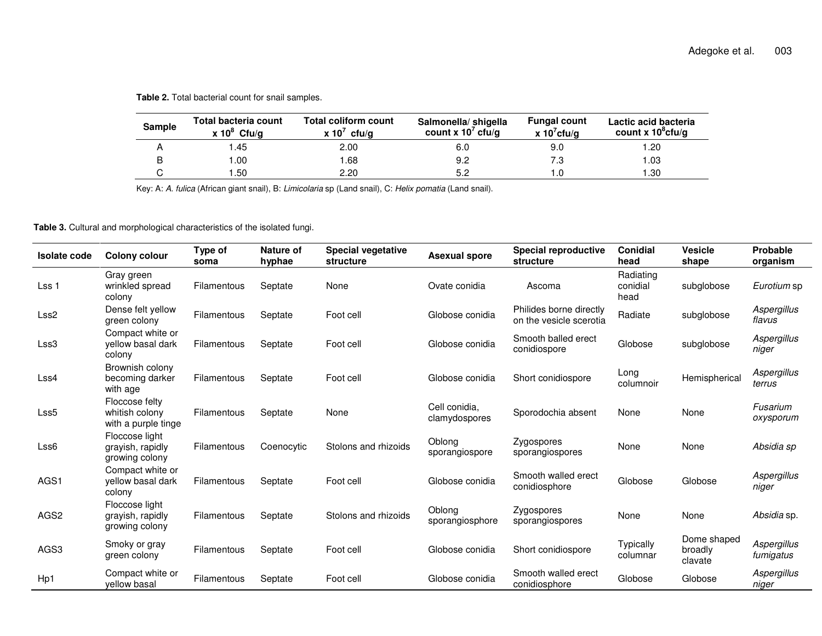|  |  |  |  |  |  | Table 2. Total bacterial count for snail samples. |
|--|--|--|--|--|--|---------------------------------------------------|
|--|--|--|--|--|--|---------------------------------------------------|

| <b>Sample</b> | Total bacteria count<br>x $10^8$ Cfu/g | <b>Total coliform count</b><br>x 10 $^7$ cfu/g | Salmonella/ shigella<br>count x $10^7$ cfu/g | <b>Fungal count</b><br>x $10^7$ cfu/g | Lactic acid bacteria<br>count x $10^8$ cfu/g |
|---------------|----------------------------------------|------------------------------------------------|----------------------------------------------|---------------------------------------|----------------------------------------------|
|               | .45                                    | 2.00                                           | 6.0                                          | 9.0                                   | .20                                          |
| B             | 00. ا                                  | .68                                            | 9.2                                          | 7.3                                   | .03                                          |
|               | . .50                                  | 2.20                                           | 5.2                                          |                                       | .30                                          |

Key: A: *A. fulica* (African giant snail), B: *Limicolaria* sp (Land snail), C: *Helix pomatia* (Land snail).

**Table 3.** Cultural and morphological characteristics of the isolated fungi.

| <b>Isolate code</b> | <b>Colony colour</b>                                    | Type of<br>soma | Nature of<br>hyphae | <b>Special vegetative</b><br>structure | <b>Asexual spore</b>           | <b>Special reproductive</b><br>structure           | <b>Conidial</b><br>head       | <b>Vesicle</b><br>shape           | Probable<br>organism     |
|---------------------|---------------------------------------------------------|-----------------|---------------------|----------------------------------------|--------------------------------|----------------------------------------------------|-------------------------------|-----------------------------------|--------------------------|
| Lss 1               | Gray green<br>wrinkled spread<br>colony                 | Filamentous     | Septate             | None                                   | Ovate conidia                  | Ascoma                                             | Radiating<br>conidial<br>head | subglobose                        | Eurotium sp              |
| Lss <sub>2</sub>    | Dense felt yellow<br>green colony                       | Filamentous     | Septate             | Foot cell                              | Globose conidia                | Philides borne directly<br>on the vesicle scerotia | Radiate                       | subglobose                        | Aspergillus<br>flavus    |
| Lss3                | Compact white or<br>yellow basal dark<br>colony         | Filamentous     | Septate             | Foot cell                              | Globose conidia                | Smooth balled erect<br>conidiospore                | Globose                       | subglobose                        | Aspergillus<br>niger     |
| Lss4                | Brownish colony<br>becoming darker<br>with age          | Filamentous     | Septate             | Foot cell                              | Globose conidia                | Short conidiospore                                 | Long<br>columnoir             | Hemispherical                     | Aspergillus<br>terrus    |
| Lss <sub>5</sub>    | Floccose felty<br>whitish colony<br>with a purple tinge | Filamentous     | Septate             | None                                   | Cell conidia.<br>clamydospores | Sporodochia absent                                 | None                          | None                              | Fusarium<br>oxysporum    |
| Lss <sub>6</sub>    | Floccose light<br>grayish, rapidly<br>growing colony    | Filamentous     | Coenocytic          | Stolons and rhizoids                   | Oblong<br>sporangiospore       | Zygospores<br>sporangiospores                      | None                          | None                              | Absidia sp               |
| AGS1                | Compact white or<br>yellow basal dark<br>colony         | Filamentous     | Septate             | Foot cell                              | Globose conidia                | Smooth walled erect<br>conidiosphore               | Globose                       | Globose                           | Aspergillus<br>niger     |
| AGS <sub>2</sub>    | Floccose light<br>grayish, rapidly<br>growing colony    | Filamentous     | Septate             | Stolons and rhizoids                   | Oblong<br>sporangiosphore      | Zygospores<br>sporangiospores                      | None                          | None                              | Absidia sp.              |
| AGS3                | Smoky or gray<br>green colony                           | Filamentous     | Septate             | Foot cell                              | Globose conidia                | Short conidiospore                                 | <b>Typically</b><br>columnar  | Dome shaped<br>broadly<br>clavate | Aspergillus<br>fumigatus |
| Hp1                 | Compact white or<br>vellow basal                        | Filamentous     | Septate             | Foot cell                              | Globose conidia                | Smooth walled erect<br>conidiosphore               | Globose                       | Globose                           | Aspergillus<br>niger     |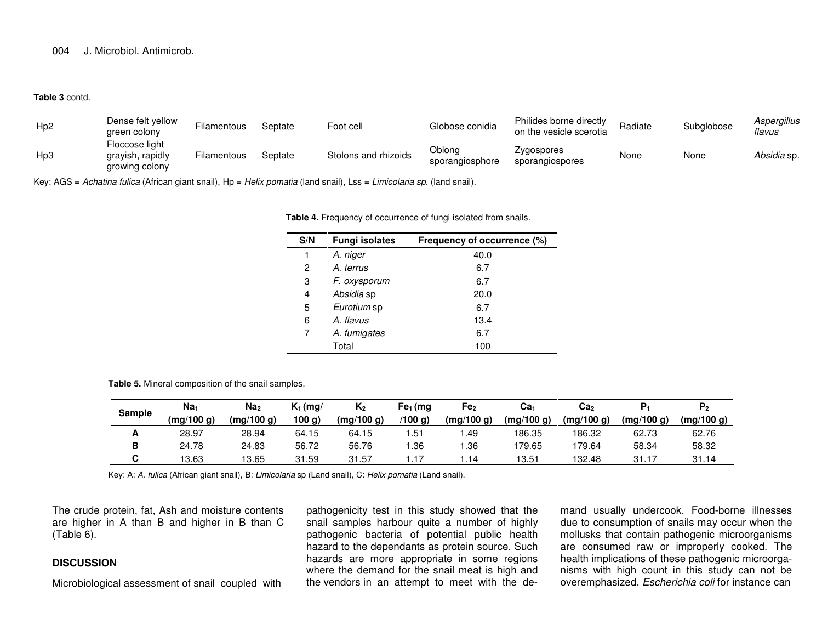#### **Table 3** contd.

| H <sub>p</sub> 2 | Dense felt yellow<br>green colony                    | Filamentous | Septate | Foot cell            | Globose conidia           | Philides borne directly<br>on the vesicle scerotia | Radiate | Subglobose | Aspergillus<br>flavus |
|------------------|------------------------------------------------------|-------------|---------|----------------------|---------------------------|----------------------------------------------------|---------|------------|-----------------------|
| Hp3              | Floccose light<br>grayish, rapidly<br>growing colony | Filamentous | Septate | Stolons and rhizoids | Oblona<br>sporangiosphore | Zygospores<br>sporangiospores                      | None    | None       | Absidia sp.           |

Key: AGS <sup>=</sup> *Achatina fulica* (African giant snail), Hp <sup>=</sup> *Helix pomatia* (land snail), Lss <sup>=</sup> *Limicolaria sp*. (land snail).

**Table 4.** Frequency of occurrence of fungi isolated from snails.

| S/N | <b>Fungi isolates</b> | Frequency of occurrence (%) |
|-----|-----------------------|-----------------------------|
| 1   | A. niger              | 40.0                        |
| 2   | A. terrus             | 6.7                         |
| 3   | F. oxysporum          | 6.7                         |
| 4   | Absidia sp            | 20.0                        |
| 5   | Eurotium sp           | 6.7                         |
| 6   | A. flavus             | 13.4                        |
| 7   | A. fumigates          | 6.7                         |
|     | Total                 | 100                         |

**Table 5.** Mineral composition of the snail samples.

| <b>Sample</b> | Na <sub>1</sub><br>(mg/100 g) | Na <sub>2</sub><br>(mg/100 g) | $K_1$ (mg/<br>100 g) | $K_{2}$<br>(mg/100 g) | Fe <sub>1</sub> (mg<br>(100 g) | Fe <sub>2</sub><br>(mg/100 g) | Ca <sub>1</sub><br>(mg/100 g) | Ca <sub>2</sub><br>(mg/100 g) | (mg/100 g) | ٣٥<br>(mg/100 g) |
|---------------|-------------------------------|-------------------------------|----------------------|-----------------------|--------------------------------|-------------------------------|-------------------------------|-------------------------------|------------|------------------|
| A             | 28.97                         | 28.94                         | 64.15                | 64.15                 | .51                            | .49                           | 186.35                        | 186.32                        | 62.73      | 62.76            |
| в             | 24.78                         | 24.83                         | 56.72                | 56.76                 | 1.36                           | .36                           | 179.65                        | 179.64                        | 58.34      | 58.32            |
|               | 13.63                         | 13.65                         | 31.59                | 31.57                 | . . 17                         | .14                           | 13.51                         | 132.48                        | 31.17      | 31.14            |

Key: A: *A. fulica* (African giant snail), B: *Limicolaria* sp (Land snail), C: *Helix pomatia* (Land snail).

The crude protein, fat, Ash and moisture contents are higher in A than B and higher in B than C (Table 6).

### **DISCUSSION**

Microbiological assessment of snail coupled with

pathogenicity test in this study showed that the snail samples harbour quite <sup>a</sup> number of highly pathogenic bacteria of potential public health hazard to the dependants as protein source. Such hazards are more appropriate in some regions where the demand for the snail meat is high and the vendors in an attempt to meet with the de-

mand usually undercook. Food-borne illnesses due to consumption of snails may occur when the mollusks that contain pathogenic microorganisms are consumed raw or improperly cooked. The health implications of these pathogenic microorga nisms with high count in this study can not be overemphasized. *Escherichia coli* for instance can